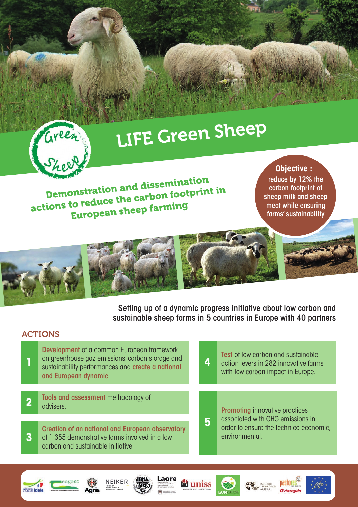

# LIFE Green Sheep

Demonstration and dissemination actions to reduce the carbon footprint in European sheep farming

**Objective :** reduce by 12% the carbon footprint of sheep milk and sheep meat while ensuring farms' sustainability

pastores



Setting up of a dynamic progress initiative about low carbon and sustainable sheep farms in 5 countries in Europe with 40 partners

#### ACTIONS

**Exercise idele** 

| Development of a common European framework<br>on greenhouse gaz emissions, carbon storage and<br>sustainability performances and create a national<br>and European dynamic. |  | 4 | <b>Test</b> of low carbon and sustainable<br>action levers in 282 innovative farms<br>with low carbon impact in Europe.               |
|-----------------------------------------------------------------------------------------------------------------------------------------------------------------------------|--|---|---------------------------------------------------------------------------------------------------------------------------------------|
| Tools and assessment methodology of<br>advisers.                                                                                                                            |  | 5 | <b>Promoting innovative practices</b><br>associated with GHG emissions in<br>order to ensure the technico-economic,<br>environmental. |
| Creation of an national and European observatory<br>of 1 355 demonstrative farms involved in a low<br>carbon and sustainable initiative.                                    |  |   |                                                                                                                                       |
|                                                                                                                                                                             |  |   |                                                                                                                                       |

Laore

**M**uniss

**IBN** 

NEIKER.